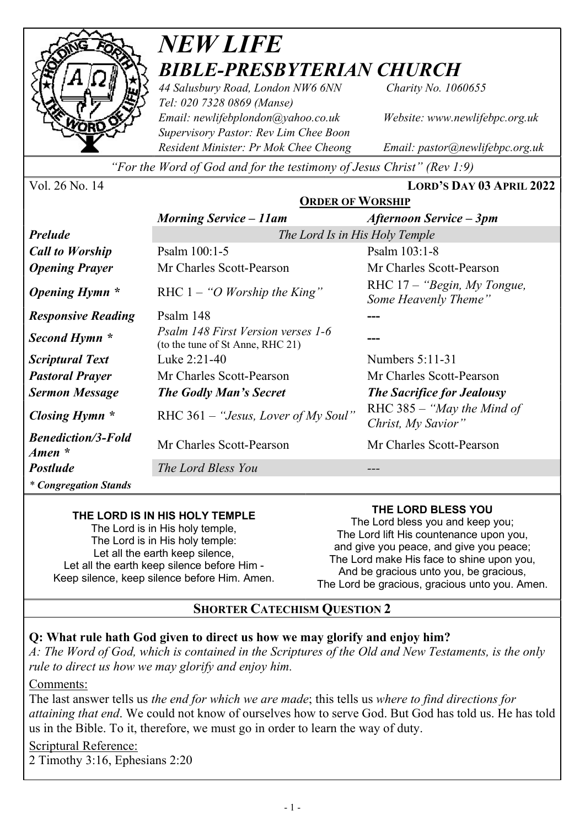

# NEW LIFE BIBLE-PRESBYTERIAN CHURCH

44 Salusbury Road, London NW6 6NN Charity No. 1060655 Tel: 020 7328 0869 (Manse) Email: newlifebplondon@yahoo.co.uk Website: www.newlifebpc.org.uk Supervisory Pastor: Rev Lim Chee Boon Resident Minister: Pr Mok Chee Cheong Email: pastor@newlifebpc.org.uk

"For the Word of God and for the testimony of Jesus Christ" (Rev 1:9)

| Vol. 26 No. 14 |  |  |
|----------------|--|--|
|----------------|--|--|

LORD'S DAY 03 APRIL 2022

|                                                 | <b>ORDER OF WORSHIP</b>                                                       |                                                       |  |
|-------------------------------------------------|-------------------------------------------------------------------------------|-------------------------------------------------------|--|
|                                                 | <b>Morning Service – 11am</b>                                                 | Afternoon Service – 3pm                               |  |
| <b>Prelude</b>                                  | The Lord Is in His Holy Temple                                                |                                                       |  |
| <b>Call to Worship</b>                          | Psalm 100:1-5                                                                 | Psalm 103:1-8                                         |  |
| <b>Opening Prayer</b>                           | Mr Charles Scott-Pearson                                                      | Mr Charles Scott-Pearson                              |  |
| Opening Hymn *                                  | RHC $1 - "O$ <i>Worship the King</i> "                                        | RHC $17 -$ "Begin, My Tongue,<br>Some Heavenly Theme" |  |
| <b>Responsive Reading</b>                       | Psalm 148                                                                     |                                                       |  |
| Second Hymn *                                   | <i>Psalm 148 First Version verses 1-6</i><br>(to the tune of St Anne, RHC 21) |                                                       |  |
| <b>Scriptural Text</b>                          | Luke 2:21-40                                                                  | Numbers 5:11-31                                       |  |
| <b>Pastoral Prayer</b>                          | Mr Charles Scott-Pearson                                                      | Mr Charles Scott-Pearson                              |  |
| <b>Sermon Message</b>                           | <b>The Godly Man's Secret</b>                                                 | <b>The Sacrifice for Jealousy</b>                     |  |
| Closing Hymn *                                  | RHC 361 – "Jesus, Lover of My Soul"                                           | RHC $385 -$ "May the Mind of<br>Christ, My Savior"    |  |
| <b>Benediction/3-Fold</b><br>$A$ <i>men</i> $*$ | Mr Charles Scott-Pearson                                                      | Mr Charles Scott-Pearson                              |  |
| <b>Postlude</b>                                 | The Lord Bless You                                                            |                                                       |  |
| * Congregation Stands                           |                                                                               |                                                       |  |

#### THE LORD IS IN HIS HOLY TEMPLE

The Lord is in His holy temple, The Lord is in His holy temple: Let all the earth keep silence. Let all the earth keep silence before Him - Keep silence, keep silence before Him. Amen.

#### THE LORD BLESS YOU

The Lord bless you and keep you; The Lord lift His countenance upon you, and give you peace, and give you peace; The Lord make His face to shine upon you, And be gracious unto you, be gracious, The Lord be gracious, gracious unto you. Amen.

#### SHORTER CATECHISM QUESTION 2

#### Q: What rule hath God given to direct us how we may glorify and enjoy him?

A: The Word of God, which is contained in the Scriptures of the Old and New Testaments, is the only rule to direct us how we may glorify and enjoy him.

Comments:

The last answer tells us the end for which we are made; this tells us where to find directions for attaining that end. We could not know of ourselves how to serve God. But God has told us. He has told us in the Bible. To it, therefore, we must go in order to learn the way of duty.

#### Scriptural Reference:

2 Timothy 3:16, Ephesians 2:20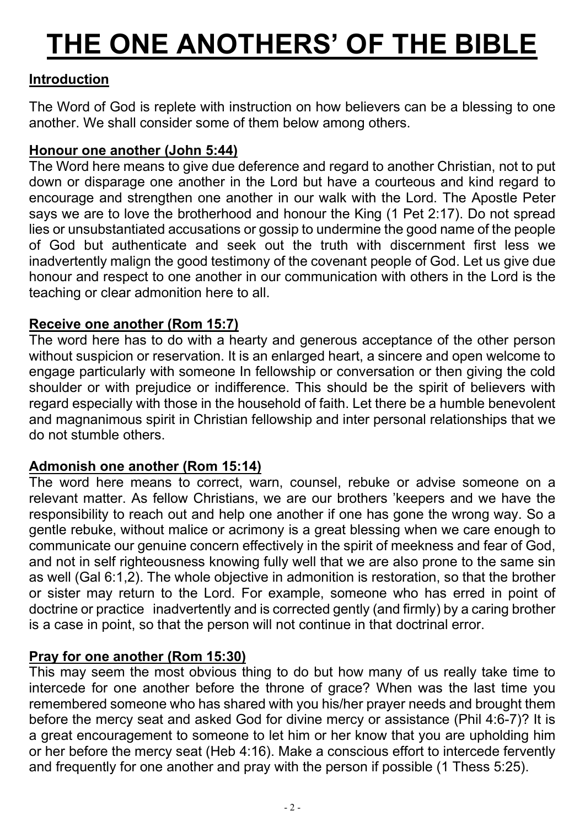# THE ONE ANOTHERS' OF THE BIBLE

# Introduction

The Word of God is replete with instruction on how believers can be a blessing to one another. We shall consider some of them below among others.

### Honour one another (John 5:44)

The Word here means to give due deference and regard to another Christian, not to put down or disparage one another in the Lord but have a courteous and kind regard to encourage and strengthen one another in our walk with the Lord. The Apostle Peter says we are to love the brotherhood and honour the King (1 Pet 2:17). Do not spread lies or unsubstantiated accusations or gossip to undermine the good name of the people of God but authenticate and seek out the truth with discernment first less we inadvertently malign the good testimony of the covenant people of God. Let us give due honour and respect to one another in our communication with others in the Lord is the teaching or clear admonition here to all.

# Receive one another (Rom 15:7)

The word here has to do with a hearty and generous acceptance of the other person without suspicion or reservation. It is an enlarged heart, a sincere and open welcome to engage particularly with someone In fellowship or conversation or then giving the cold shoulder or with prejudice or indifference. This should be the spirit of believers with regard especially with those in the household of faith. Let there be a humble benevolent and magnanimous spirit in Christian fellowship and inter personal relationships that we do not stumble others.

# Admonish one another (Rom 15:14)

The word here means to correct, warn, counsel, rebuke or advise someone on a relevant matter. As fellow Christians, we are our brothers 'keepers and we have the responsibility to reach out and help one another if one has gone the wrong way. So a gentle rebuke, without malice or acrimony is a great blessing when we care enough to communicate our genuine concern effectively in the spirit of meekness and fear of God, and not in self righteousness knowing fully well that we are also prone to the same sin as well (Gal 6:1,2). The whole objective in admonition is restoration, so that the brother or sister may return to the Lord. For example, someone who has erred in point of doctrine or practice inadvertently and is corrected gently (and firmly) by a caring brother is a case in point, so that the person will not continue in that doctrinal error.

# Pray for one another (Rom 15:30)

This may seem the most obvious thing to do but how many of us really take time to intercede for one another before the throne of grace? When was the last time you remembered someone who has shared with you his/her prayer needs and brought them before the mercy seat and asked God for divine mercy or assistance (Phil 4:6-7)? It is a great encouragement to someone to let him or her know that you are upholding him or her before the mercy seat (Heb 4:16). Make a conscious effort to intercede fervently and frequently for one another and pray with the person if possible (1 Thess 5:25).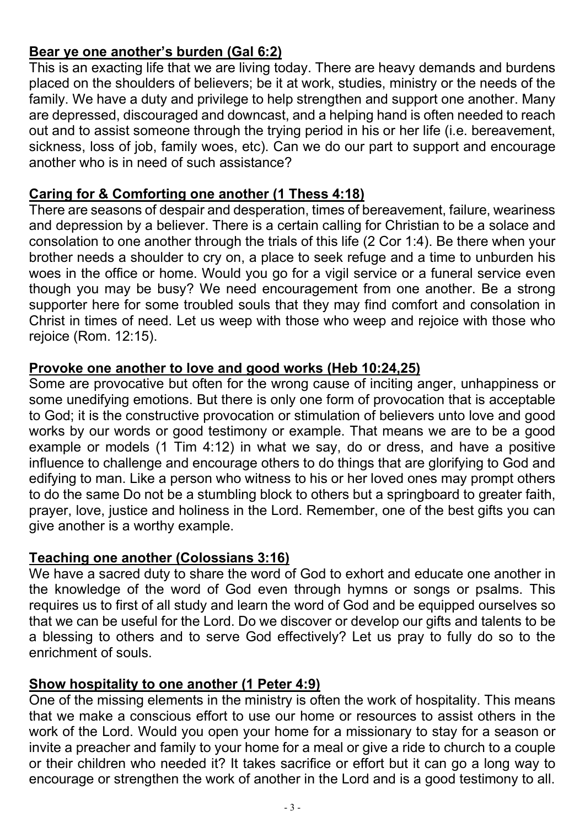# Bear ye one another's burden (Gal 6:2)

This is an exacting life that we are living today. There are heavy demands and burdens placed on the shoulders of believers; be it at work, studies, ministry or the needs of the family. We have a duty and privilege to help strengthen and support one another. Many are depressed, discouraged and downcast, and a helping hand is often needed to reach out and to assist someone through the trying period in his or her life (i.e. bereavement, sickness, loss of job, family woes, etc). Can we do our part to support and encourage another who is in need of such assistance?

#### Caring for & Comforting one another (1 Thess 4:18)

There are seasons of despair and desperation, times of bereavement, failure, weariness and depression by a believer. There is a certain calling for Christian to be a solace and consolation to one another through the trials of this life (2 Cor 1:4). Be there when your brother needs a shoulder to cry on, a place to seek refuge and a time to unburden his woes in the office or home. Would you go for a vigil service or a funeral service even though you may be busy? We need encouragement from one another. Be a strong supporter here for some troubled souls that they may find comfort and consolation in Christ in times of need. Let us weep with those who weep and rejoice with those who rejoice (Rom. 12:15).

#### Provoke one another to love and good works (Heb 10:24,25)

Some are provocative but often for the wrong cause of inciting anger, unhappiness or some unedifying emotions. But there is only one form of provocation that is acceptable to God; it is the constructive provocation or stimulation of believers unto love and good works by our words or good testimony or example. That means we are to be a good example or models (1 Tim 4:12) in what we say, do or dress, and have a positive influence to challenge and encourage others to do things that are glorifying to God and edifying to man. Like a person who witness to his or her loved ones may prompt others to do the same Do not be a stumbling block to others but a springboard to greater faith, prayer, love, justice and holiness in the Lord. Remember, one of the best gifts you can give another is a worthy example.

### Teaching one another (Colossians 3:16)

We have a sacred duty to share the word of God to exhort and educate one another in the knowledge of the word of God even through hymns or songs or psalms. This requires us to first of all study and learn the word of God and be equipped ourselves so that we can be useful for the Lord. Do we discover or develop our gifts and talents to be a blessing to others and to serve God effectively? Let us pray to fully do so to the enrichment of souls.

# Show hospitality to one another (1 Peter 4:9)

One of the missing elements in the ministry is often the work of hospitality. This means that we make a conscious effort to use our home or resources to assist others in the work of the Lord. Would you open your home for a missionary to stay for a season or invite a preacher and family to your home for a meal or give a ride to church to a couple or their children who needed it? It takes sacrifice or effort but it can go a long way to encourage or strengthen the work of another in the Lord and is a good testimony to all.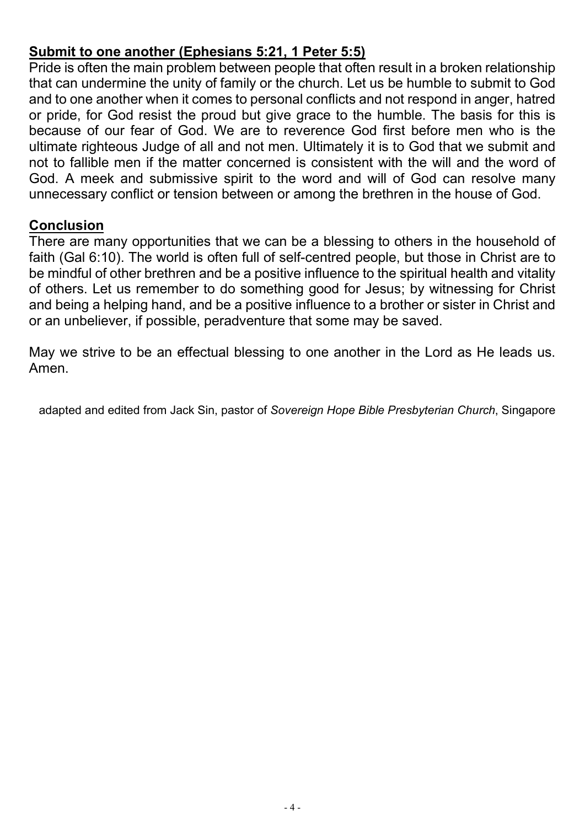# Submit to one another (Ephesians 5:21, 1 Peter 5:5)

Pride is often the main problem between people that often result in a broken relationship that can undermine the unity of family or the church. Let us be humble to submit to God and to one another when it comes to personal conflicts and not respond in anger, hatred or pride, for God resist the proud but give grace to the humble. The basis for this is because of our fear of God. We are to reverence God first before men who is the ultimate righteous Judge of all and not men. Ultimately it is to God that we submit and not to fallible men if the matter concerned is consistent with the will and the word of God. A meek and submissive spirit to the word and will of God can resolve many unnecessary conflict or tension between or among the brethren in the house of God.

#### Conclusion

There are many opportunities that we can be a blessing to others in the household of faith (Gal 6:10). The world is often full of self-centred people, but those in Christ are to be mindful of other brethren and be a positive influence to the spiritual health and vitality of others. Let us remember to do something good for Jesus; by witnessing for Christ and being a helping hand, and be a positive influence to a brother or sister in Christ and or an unbeliever, if possible, peradventure that some may be saved.

May we strive to be an effectual blessing to one another in the Lord as He leads us. Amen.

adapted and edited from Jack Sin, pastor of Sovereign Hope Bible Presbyterian Church, Singapore